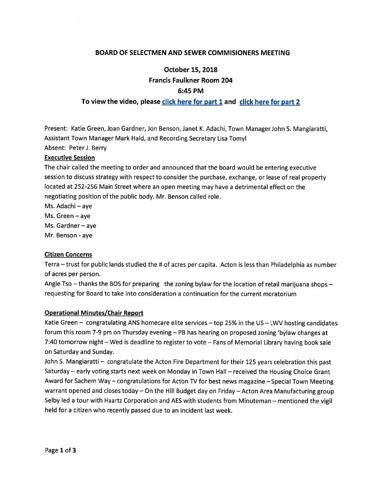# BOARD OF SELECTMEN AND SEWER COMMISIONERS MEETING

# October 15, 2018 Francis Faulkner Room 204 6:45 PM

# To view the video, <sup>p</sup>lease click here for par<sup>t</sup> <sup>1</sup> and click here for par<sup>t</sup> <sup>2</sup>

Present: Katie Green, Joan Gardner, Jon Benson, Janet K. Adachi, Town Manager John S. Mangiaratti, Assistant Town Manager Mark Hald, and Recording Secretary Lisa Tomyl Absent: Peter J. Berry

## Executive Session

The chair called the meeting to order and announced that the board would be entering executive session to discuss strategy with respec<sup>t</sup> to consider the purchase, exchange, or lease of real property located at 252-256 Main Street where an open meeting may have <sup>a</sup> detrimental effect on the negotiating position of the public body. Mr. Benson called role.

Ms. Adachi — aye

Ms. Green — aye

Ms. Gardner—aye

Mr. Benson - aye

#### Citizen Concerns

Terra — trust for public lands studied the # of acres per capita. Acton is less than Philadelphia as number of acres per person.

Angie Tso  $-$  thanks the BOS for preparing the zoning bylaw for the location of retail marijuana shops  $$ requesting for Board to take into consideration <sup>a</sup> continuation for the current moratorium

#### Operational Minutes/Chair Report

Katie Green — congratulating ANS homecare elite services — top 25% in the US — LWV hosting candidates forum this room 7-9 pm on Thursday evening — PB has hearing on propose<sup>d</sup> zoning 'bylaw changes at 7:40 tomorrow night — Wed is deadline to register to vote — Fans of Memorial Library having book sale on Saturday and Sunday.

John S. Mangiaratti — congratulate the Acton Fire Department for their <sup>125</sup> years celebration this pas<sup>t</sup> Saturday — early voting starts next week on Monday in Town Hall — received the Housing Choice Grant Award for Sachem Way — congratulations for Acton TV for best news magazine — Special Town Meeting warrant opene<sup>d</sup> and closes today — On the Hill Budget day on Friday — Acton Area Manufacturing group Selby led <sup>a</sup> tour with Haartz Corporation and AES with students from Minuteman — mentioned the vigil held for <sup>a</sup> citizen who recently passed due to an incident last week.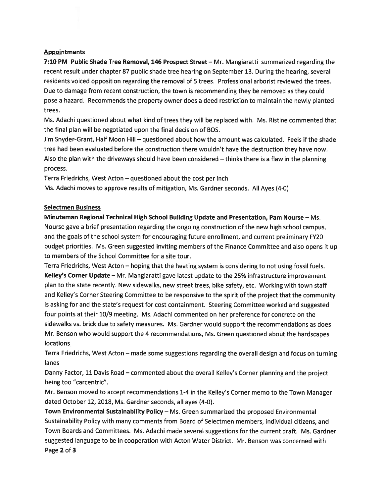## **Appointments**

7:10 PM Public Shade Tree Removal, 146 Prospect Street — Mr. Mangiaratti summarized regarding the recent result under chapter 87 public shade tree hearing on September 13. During the hearing, several residents voiced opposition regarding the removal of 5 trees. Professional arborist reviewed the trees. Due to damage from recent construction, the town is recommending they be removed as they could pose <sup>a</sup> hazard. Recommends the property owner does <sup>a</sup> deed restriction to maintain the newly planted trees.

Ms. Adachi questioned about what kind of trees they will be replaced with. Ms. Ristine commented that the final plan will be negotiated upon the final decision of BOS.

Jim Snyder-Grant, Half Moon Hill — questioned about how the amount was calculated. Feels if the shade tree had been evaluated before the construction there wouldn't have the destruction they have now. Also the plan with the driveways should have been considered – thinks there is a flaw in the planning process.

Terra Friedrichs, West Acton — questioned about the cost per inch

Ms. Adachi moves to approve results of mitigation, Ms. Gardner seconds. All Ayes (4-0)

# Selectmen Business

Minuteman Regional Technical High School Building Update and Presentation, Pam Nourse — Ms. Nourse gave <sup>a</sup> brief presentation regarding the ongoing construction of the new high school campus, and the goals of the school system for encouraging future enrollment, and current preliminary FY20 budget priorities. Ms. Green suggested inviting members of the Finance Committee and also opens it up to members of the School Committee for <sup>a</sup> site tour.

Terra Friedrichs, West Acton — hoping that the heating system is considering to not using fossil fuels. Kelley's Corner Update — Mr. Mangiaratti gave latest update to the 25% infrastructure improvement <sup>p</sup>lan to the state recently. New sidewalks, new street trees, bike safety, etc. Working with town staff and Kelley's Corner Steering Committee to be responsive to the spirit of the project that the community is asking for and the state's reques<sup>t</sup> for cost containment. Steering Committee worked and suggested four points at their 10/9 meeting. Ms. Adachi commented on her preference for concrete on the sidewalks vs. brick due to safety measures. Ms. Gardner would suppor<sup>t</sup> the recommendations as does Mr. Benson who would suppor<sup>t</sup> the <sup>4</sup> recommendations, Ms. Green questioned about the hardscapes locations

Terra Friedrichs, West Acton — made some suggestions regarding the overall design and focus on turning lanes

Danny Factor, <sup>11</sup> Davis Road — commented about the overall Kelley's Corner <sup>p</sup>lanning and the project being too "carcentric".

Mr. Benson moved to accep<sup>t</sup> recommendations 1-4 in the Kelley's Corner memo to the Town Manager dated October 12, 2018, Ms. Gardner seconds, all ayes (4-0).

Town Environmental Sustainability Policy—Ms. Green summarized the proposed Environmental Sustainability Policy with many comments from Board of Selectmen members, individual citizens, and Town Boards and Committees. Ms. Adachi made several suggestions for the current draft. Ms. Gardner suggested language to be in cooperation with Acton Water District. Mr. Benson was concerned with Page 2 of 3